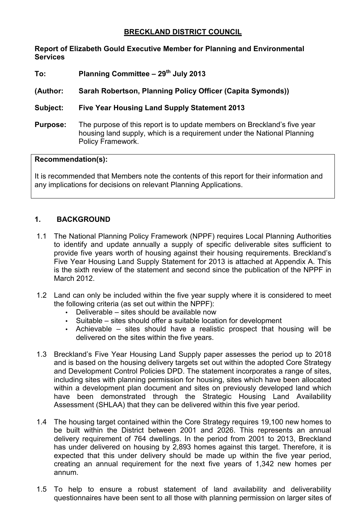# **BRECKLAND DISTRICT COUNCIL**

### **Report of Elizabeth Gould Executive Member for Planning and Environmental Services**

**To: Planning Committee – 29th July 2013** 

# **(Author: Sarah Robertson, Planning Policy Officer (Capita Symonds))**

# **Subject: Five Year Housing Land Supply Statement 2013**

**Purpose:** The purpose of this report is to update members on Breckland's five year housing land supply, which is a requirement under the National Planning Policy Framework.

### **Recommendation(s):**

It is recommended that Members note the contents of this report for their information and any implications for decisions on relevant Planning Applications.

# **1. BACKGROUND**

- 1.1 The National Planning Policy Framework (NPPF) requires Local Planning Authorities to identify and update annually a supply of specific deliverable sites sufficient to provide five years worth of housing against their housing requirements. Breckland's Five Year Housing Land Supply Statement for 2013 is attached at Appendix A. This is the sixth review of the statement and second since the publication of the NPPF in March 2012.
- 1.2 Land can only be included within the five year supply where it is considered to meet the following criteria (as set out within the NPPF):
	- $\bullet$  Deliverable sites should be available now
	- Suitable sites should offer a suitable location for development
	- Achievable sites should have a realistic prospect that housing will be delivered on the sites within the five years.
- 1.3 Breckland's Five Year Housing Land Supply paper assesses the period up to 2018 and is based on the housing delivery targets set out within the adopted Core Strategy and Development Control Policies DPD. The statement incorporates a range of sites, including sites with planning permission for housing, sites which have been allocated within a development plan document and sites on previously developed land which have been demonstrated through the Strategic Housing Land Availability Assessment (SHLAA) that they can be delivered within this five year period.
- 1.4 The housing target contained within the Core Strategy requires 19,100 new homes to be built within the District between 2001 and 2026. This represents an annual delivery requirement of 764 dwellings. In the period from 2001 to 2013, Breckland has under delivered on housing by 2,893 homes against this target. Therefore, it is expected that this under delivery should be made up within the five year period, creating an annual requirement for the next five years of 1,342 new homes per annum.
- 1.5 To help to ensure a robust statement of land availability and deliverability questionnaires have been sent to all those with planning permission on larger sites of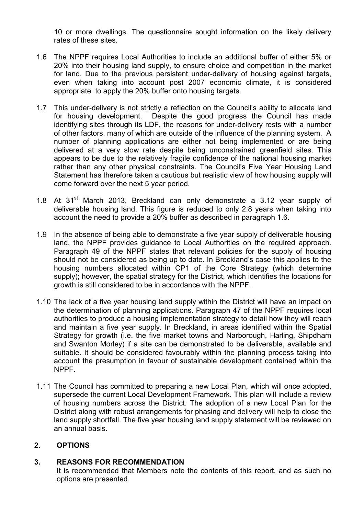10 or more dwellings. The questionnaire sought information on the likely delivery rates of these sites.

- 1.6 The NPPF requires Local Authorities to include an additional buffer of either 5% or 20% into their housing land supply, to ensure choice and competition in the market for land. Due to the previous persistent under-delivery of housing against targets, even when taking into account post 2007 economic climate, it is considered appropriate to apply the 20% buffer onto housing targets.
- 1.7 This under-delivery is not strictly a reflection on the Council's ability to allocate land for housing development. Despite the good progress the Council has made identifying sites through its LDF, the reasons for under-delivery rests with a number of other factors, many of which are outside of the influence of the planning system. A number of planning applications are either not being implemented or are being delivered at a very slow rate despite being unconstrained greenfield sites. This appears to be due to the relatively fragile confidence of the national housing market rather than any other physical constraints. The Council's Five Year Housing Land Statement has therefore taken a cautious but realistic view of how housing supply will come forward over the next 5 year period.
- 1.8 At 31<sup>st</sup> March 2013, Breckland can only demonstrate a 3.12 year supply of deliverable housing land. This figure is reduced to only 2.8 years when taking into account the need to provide a 20% buffer as described in paragraph 1.6.
- 1.9 In the absence of being able to demonstrate a five year supply of deliverable housing land, the NPPF provides guidance to Local Authorities on the required approach. Paragraph 49 of the NPPF states that relevant policies for the supply of housing should not be considered as being up to date. In Breckland's case this applies to the housing numbers allocated within CP1 of the Core Strategy (which determine supply); however, the spatial strategy for the District, which identifies the locations for growth is still considered to be in accordance with the NPPF.
- 1.10 The lack of a five year housing land supply within the District will have an impact on the determination of planning applications. Paragraph 47 of the NPPF requires local authorities to produce a housing implementation strategy to detail how they will reach and maintain a five year supply. In Breckland, in areas identified within the Spatial Strategy for growth (i.e. the five market towns and Narborough, Harling, Shipdham and Swanton Morley) if a site can be demonstrated to be deliverable, available and suitable. It should be considered favourably within the planning process taking into account the presumption in favour of sustainable development contained within the NPPF.
- 1.11 The Council has committed to preparing a new Local Plan, which will once adopted, supersede the current Local Development Framework. This plan will include a review of housing numbers across the District. The adoption of a new Local Plan for the District along with robust arrangements for phasing and delivery will help to close the land supply shortfall. The five year housing land supply statement will be reviewed on an annual basis.

### **2. OPTIONS**

### **3. REASONS FOR RECOMMENDATION**

It is recommended that Members note the contents of this report, and as such no options are presented.